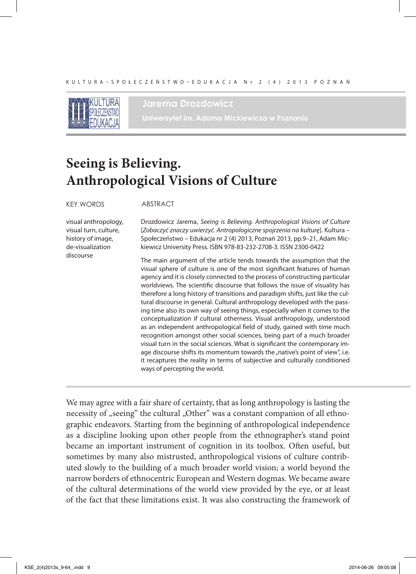

### **Jarema Drozdowicz**

**Uniwersytet im. Adama Mickiewicza w Poznaniu**

# **Seeing is Believing. Anthropological Visions of Culture**

#### KEY WORDS ABSTRACT

visual anthropology, visual turn, culture, history of image, de-visualization discourse

Drozdowicz Jarema, *Seeing is Believing. Anthropological Visions of Culture* [*Zobaczyć znaczy uwierzyć. Antropologiczne spojrzenia na kulturę*]. Kultura – Społeczeństwo – Edukacja nr 2 (4) 2013, Poznań 2013, pp.9–21, Adam Mickiewicz University Press. ISBN 978-83-232-2708-3. ISSN 2300-0422

The main argument of the article tends towards the assumption that the visual sphere of culture is one of the most significant features of human agency and it is closely connected to the process of constructing particular worldviews. The scientific discourse that follows the issue of visuality has therefore a long history of transitions and paradigm shifts, just like the cultural discourse in general. Cultural anthropology developed with the passing time also its own way of seeing things, especially when it comes to the conceptualization if cultural otherness. Visual anthropology, understood as an independent anthropological field of study, gained with time much recognition amongst other social sciences, being part of a much broader visual turn in the social sciences. What is significant the contemporary image discourse shifts its momentum towards the "native's point of view", i.e. it recaptures the reality in terms of subjective and culturally conditioned ways of percepting the world.

We may agree with a fair share of certainty, that as long anthropology is lasting the necessity of "seeing" the cultural "Other" was a constant companion of all ethnographic endeavors. Starting from the beginning of anthropological independence as a discipline looking upon other people from the ethnographer's stand point became an important instrument of cognition in its toolbox. Often useful, but sometimes by many also mistrusted, anthropological visions of culture contributed slowly to the building of a much broader world vision; a world beyond the narrow borders of ethnocentric European and Western dogmas. We became aware of the cultural determinations of the world view provided by the eye, or at least of the fact that these limitations exist. It was also constructing the framework of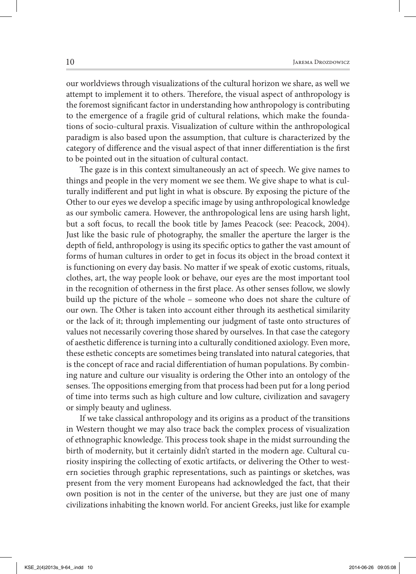our worldviews through visualizations of the cultural horizon we share, as well we attempt to implement it to others. Therefore, the visual aspect of anthropology is the foremost significant factor in understanding how anthropology is contributing to the emergence of a fragile grid of cultural relations, which make the foundations of socio-cultural praxis. Visualization of culture within the anthropological paradigm is also based upon the assumption, that culture is characterized by the category of difference and the visual aspect of that inner differentiation is the first to be pointed out in the situation of cultural contact.

The gaze is in this context simultaneously an act of speech. We give names to things and people in the very moment we see them. We give shape to what is culturally indifferent and put light in what is obscure. By exposing the picture of the Other to our eyes we develop a specific image by using anthropological knowledge as our symbolic camera. However, the anthropological lens are using harsh light, but a soft focus, to recall the book title by James Peacock (see: Peacock, 2004). Just like the basic rule of photography, the smaller the aperture the larger is the depth of field, anthropology is using its specific optics to gather the vast amount of forms of human cultures in order to get in focus its object in the broad context it is functioning on every day basis. No matter if we speak of exotic customs, rituals, clothes, art, the way people look or behave, our eyes are the most important tool in the recognition of otherness in the first place. As other senses follow, we slowly build up the picture of the whole – someone who does not share the culture of our own. The Other is taken into account either through its aesthetical similarity or the lack of it; through implementing our judgment of taste onto structures of values not necessarily covering those shared by ourselves. In that case the category of aesthetic difference is turning into a culturally conditioned axiology. Even more, these esthetic concepts are sometimes being translated into natural categories, that is the concept of race and racial differentiation of human populations. By combining nature and culture our visuality is ordering the Other into an ontology of the senses. The oppositions emerging from that process had been put for a long period of time into terms such as high culture and low culture, civilization and savagery or simply beauty and ugliness.

If we take classical anthropology and its origins as a product of the transitions in Western thought we may also trace back the complex process of visualization of ethnographic knowledge. This process took shape in the midst surrounding the birth of modernity, but it certainly didn't started in the modern age. Cultural curiosity inspiring the collecting of exotic artifacts, or delivering the Other to western societies through graphic representations, such as paintings or sketches, was present from the very moment Europeans had acknowledged the fact, that their own position is not in the center of the universe, but they are just one of many civilizations inhabiting the known world. For ancient Greeks, just like for example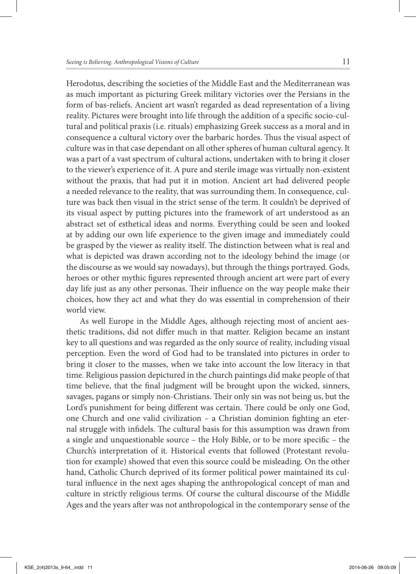Herodotus, describing the societies of the Middle East and the Mediterranean was as much important as picturing Greek military victories over the Persians in the form of bas-reliefs. Ancient art wasn't regarded as dead representation of a living reality. Pictures were brought into life through the addition of a specific socio-cultural and political praxis (i.e. rituals) emphasizing Greek success as a moral and in consequence a cultural victory over the barbaric hordes. Thus the visual aspect of culture was in that case dependant on all other spheres of human cultural agency. It was a part of a vast spectrum of cultural actions, undertaken with to bring it closer to the viewer's experience of it. A pure and sterile image was virtually non-existent without the praxis, that had put it in motion. Ancient art had delivered people a needed relevance to the reality, that was surrounding them. In consequence, culture was back then visual in the strict sense of the term. It couldn't be deprived of its visual aspect by putting pictures into the framework of art understood as an abstract set of esthetical ideas and norms. Everything could be seen and looked at by adding our own life experience to the given image and immediately could be grasped by the viewer as reality itself. The distinction between what is real and what is depicted was drawn according not to the ideology behind the image (or the discourse as we would say nowadays), but through the things portrayed. Gods, heroes or other mythic figures represented through ancient art were part of every day life just as any other personas. Their influence on the way people make their choices, how they act and what they do was essential in comprehension of their world view.

As well Europe in the Middle Ages, although rejecting most of ancient aesthetic traditions, did not differ much in that matter. Religion became an instant key to all questions and was regarded as the only source of reality, including visual perception. Even the word of God had to be translated into pictures in order to bring it closer to the masses, when we take into account the low literacy in that time. Religious passion depictured in the church paintings did make people of that time believe, that the final judgment will be brought upon the wicked, sinners, savages, pagans or simply non-Christians. Their only sin was not being us, but the Lord's punishment for being different was certain. There could be only one God, one Church and one valid civilization - a Christian dominion fighting an eternal struggle with infidels. The cultural basis for this assumption was drawn from a single and unquestionable source – the Holy Bible, or to be more specific – the Church's interpretation of it. Historical events that followed (Protestant revolution for example) showed that even this source could be misleading. On the other hand, Catholic Church deprived of its former political power maintained its cultural influence in the next ages shaping the anthropological concept of man and culture in strictly religious terms. Of course the cultural discourse of the Middle Ages and the years after was not anthropological in the contemporary sense of the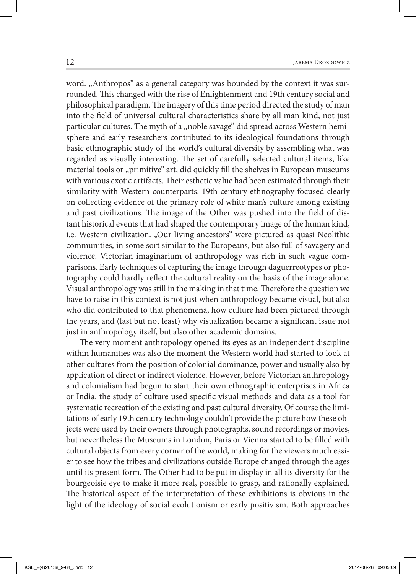word. "Anthropos" as a general category was bounded by the context it was surrounded. This changed with the rise of Enlightenment and 19th century social and philosophical paradigm. The imagery of this time period directed the study of man into the field of universal cultural characteristics share by all man kind, not just particular cultures. The myth of a "noble savage" did spread across Western hemisphere and early researchers contributed to its ideological foundations through basic ethnographic study of the world's cultural diversity by assembling what was regarded as visually interesting. The set of carefully selected cultural items, like material tools or "primitive" art, did quickly fill the shelves in European museums with various exotic artifacts. Their esthetic value had been estimated through their similarity with Western counterparts. 19th century ethnography focused clearly on collecting evidence of the primary role of white man's culture among existing and past civilizations. The image of the Other was pushed into the field of distant historical events that had shaped the contemporary image of the human kind, i.e. Western civilization. "Our living ancestors" were pictured as quasi Neolithic communities, in some sort similar to the Europeans, but also full of savagery and violence. Victorian imaginarium of anthropology was rich in such vague comparisons. Early techniques of capturing the image through daguerreotypes or photography could hardly reflect the cultural reality on the basis of the image alone. Visual anthropology was still in the making in that time. Therefore the question we have to raise in this context is not just when anthropology became visual, but also who did contributed to that phenomena, how culture had been pictured through the years, and (last but not least) why visualization became a significant issue not just in anthropology itself, but also other academic domains.

The very moment anthropology opened its eyes as an independent discipline within humanities was also the moment the Western world had started to look at other cultures from the position of colonial dominance, power and usually also by application of direct or indirect violence. However, before Victorian anthropology and colonialism had begun to start their own ethnographic enterprises in Africa or India, the study of culture used specific visual methods and data as a tool for systematic recreation of the existing and past cultural diversity. Of course the limitations of early 19th century technology couldn't provide the picture how these objects were used by their owners through photographs, sound recordings or movies, but nevertheless the Museums in London, Paris or Vienna started to be filled with cultural objects from every corner of the world, making for the viewers much easier to see how the tribes and civilizations outside Europe changed through the ages until its present form. The Other had to be put in display in all its diversity for the bourgeoisie eye to make it more real, possible to grasp, and rationally explained. The historical aspect of the interpretation of these exhibitions is obvious in the light of the ideology of social evolutionism or early positivism. Both approaches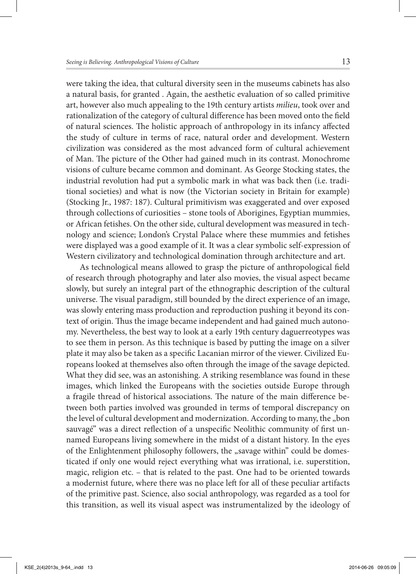were taking the idea, that cultural diversity seen in the museums cabinets has also a natural basis, for granted . Again, the aesthetic evaluation of so called primitive art, however also much appealing to the 19th century artists *milieu*, took over and rationalization of the category of cultural difference has been moved onto the field of natural sciences. The holistic approach of anthropology in its infancy affected the study of culture in terms of race, natural order and development. Western civilization was considered as the most advanced form of cultural achievement of Man. The picture of the Other had gained much in its contrast. Monochrome visions of culture became common and dominant. As George Stocking states, the industrial revolution had put a symbolic mark in what was back then (i.e. traditional societies) and what is now (the Victorian society in Britain for example) (Stocking Jr., 1987: 187). Cultural primitivism was exaggerated and over exposed through collections of curiosities – stone tools of Aborigines, Egyptian mummies, or African fetishes. On the other side, cultural development was measured in technology and science; London's Crystal Palace where these mummies and fetishes were displayed was a good example of it. It was a clear symbolic self-expression of Western civilizatory and technological domination through architecture and art.

As technological means allowed to grasp the picture of anthropological field of research through photography and later also movies, the visual aspect became slowly, but surely an integral part of the ethnographic description of the cultural universe. The visual paradigm, still bounded by the direct experience of an image, was slowly entering mass production and reproduction pushing it beyond its context of origin. Thus the image became independent and had gained much autonomy. Nevertheless, the best way to look at a early 19th century daguerreotypes was to see them in person. As this technique is based by putting the image on a silver plate it may also be taken as a specific Lacanian mirror of the viewer. Civilized Europeans looked at themselves also often through the image of the savage depicted. What they did see, was an astonishing. A striking resemblance was found in these images, which linked the Europeans with the societies outside Europe through a fragile thread of historical associations. The nature of the main difference between both parties involved was grounded in terms of temporal discrepancy on the level of cultural development and modernization. According to many, the "bon sauvagé" was a direct reflection of a unspecific Neolithic community of first unnamed Europeans living somewhere in the midst of a distant history. In the eyes of the Enlightenment philosophy followers, the "savage within" could be domesticated if only one would reject everything what was irrational, i.e. superstition, magic, religion etc. – that is related to the past. One had to be oriented towards a modernist future, where there was no place left for all of these peculiar artifacts of the primitive past. Science, also social anthropology, was regarded as a tool for this transition, as well its visual aspect was instrumentalized by the ideology of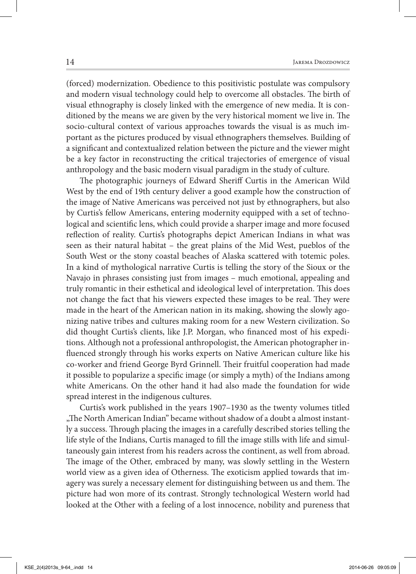(forced) modernization. Obedience to this positivistic postulate was compulsory and modern visual technology could help to overcome all obstacles. The birth of visual ethnography is closely linked with the emergence of new media. It is conditioned by the means we are given by the very historical moment we live in. The socio-cultural context of various approaches towards the visual is as much important as the pictures produced by visual ethnographers themselves. Building of a significant and contextualized relation between the picture and the viewer might be a key factor in reconstructing the critical trajectories of emergence of visual anthropology and the basic modern visual paradigm in the study of culture.

The photographic journeys of Edward Sheriff Curtis in the American Wild West by the end of 19th century deliver a good example how the construction of the image of Native Americans was perceived not just by ethnographers, but also by Curtis's fellow Americans, entering modernity equipped with a set of technological and scientific lens, which could provide a sharper image and more focused reflection of reality. Curtis's photographs depict American Indians in what was seen as their natural habitat – the great plains of the Mid West, pueblos of the South West or the stony coastal beaches of Alaska scattered with totemic poles. In a kind of mythological narrative Curtis is telling the story of the Sioux or the Navajo in phrases consisting just from images – much emotional, appealing and truly romantic in their esthetical and ideological level of interpretation. This does not change the fact that his viewers expected these images to be real. They were made in the heart of the American nation in its making, showing the slowly agonizing native tribes and cultures making room for a new Western civilization. So did thought Curtis's clients, like J.P. Morgan, who financed most of his expeditions. Although not a professional anthropologist, the American photographer in fluenced strongly through his works experts on Native American culture like his co-worker and friend George Byrd Grinnell. Their fruitful cooperation had made it possible to popularize a specific image (or simply a myth) of the Indians among white Americans. On the other hand it had also made the foundation for wide spread interest in the indigenous cultures.

Curtis's work published in the years 1907–1930 as the twenty volumes titled " The North American Indian" became without shadow of a doubt a almost instantly a success. Through placing the images in a carefully described stories telling the life style of the Indians, Curtis managed to fill the image stills with life and simultaneously gain interest from his readers across the continent, as well from abroad. The image of the Other, embraced by many, was slowly settling in the Western world view as a given idea of Otherness. The exoticism applied towards that imagery was surely a necessary element for distinguishing between us and them. The picture had won more of its contrast. Strongly technological Western world had looked at the Other with a feeling of a lost innocence, nobility and pureness that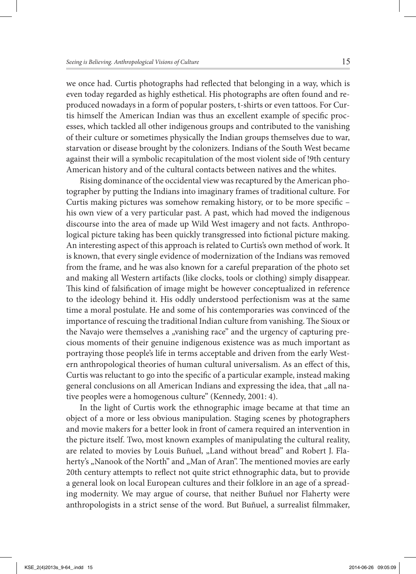we once had. Curtis photographs had reflected that belonging in a way, which is even today regarded as highly esthetical. His photographs are often found and reproduced nowadays in a form of popular posters, t-shirts or even tattoos. For Curtis himself the American Indian was thus an excellent example of specific processes, which tackled all other indigenous groups and contributed to the vanishing of their culture or sometimes physically the Indian groups themselves due to war, starvation or disease brought by the colonizers. Indians of the South West became against their will a symbolic recapitulation of the most violent side of !9th century American history and of the cultural contacts between natives and the whites.

Rising dominance of the occidental view was recaptured by the American photographer by putting the Indians into imaginary frames of traditional culture. For Curtis making pictures was somehow remaking history, or to be more specific his own view of a very particular past. A past, which had moved the indigenous discourse into the area of made up Wild West imagery and not facts. Anthropological picture taking has been quickly transgressed into fictional picture making. An interesting aspect of this approach is related to Curtis's own method of work. It is known, that every single evidence of modernization of the Indians was removed from the frame, and he was also known for a careful preparation of the photo set and making all Western artifacts (like clocks, tools or clothing) simply disappear. This kind of falsification of image might be however conceptualized in reference to the ideology behind it. His oddly understood perfectionism was at the same time a moral postulate. He and some of his contemporaries was convinced of the importance of rescuing the traditional Indian culture from vanishing. The Sioux or the Navajo were themselves a "vanishing race" and the urgency of capturing precious moments of their genuine indigenous existence was as much important as portraying those people's life in terms acceptable and driven from the early Western anthropological theories of human cultural universalism. As an effect of this, Curtis was reluctant to go into the specific of a particular example, instead making general conclusions on all American Indians and expressing the idea, that "all native peoples were a homogenous culture" (Kennedy, 2001: 4).

In the light of Curtis work the ethnographic image became at that time an object of a more or less obvious manipulation. Staging scenes by photographers and movie makers for a better look in front of camera required an intervention in the picture itself. Two, most known examples of manipulating the cultural reality, are related to movies by Louis Buñuel, "Land without bread" and Robert J. Flaherty's "Nanook of the North" and "Man of Aran". The mentioned movies are early 20th century attempts to reflect not quite strict ethnographic data, but to provide a general look on local European cultures and their folklore in an age of a spreading modernity. We may argue of course, that neither Buñuel nor Flaherty were anthropologists in a strict sense of the word. But Buñuel, a surrealist filmmaker,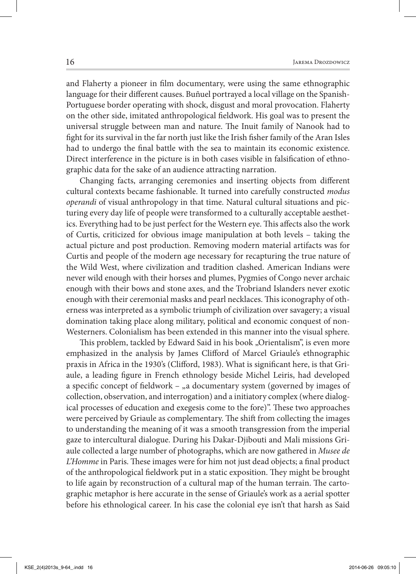and Flaherty a pioneer in film documentary, were using the same ethnographic language for their different causes. Buñuel portrayed a local village on the Spanish-Portuguese border operating with shock, disgust and moral provocation. Flaherty on the other side, imitated anthropological fieldwork. His goal was to present the universal struggle between man and nature. The Inuit family of Nanook had to fight for its survival in the far north just like the Irish fisher family of the Aran Isles had to undergo the final battle with the sea to maintain its economic existence. Direct interference in the picture is in both cases visible in falsification of ethnographic data for the sake of an audience attracting narration.

Changing facts, arranging ceremonies and inserting objects from different cultural contexts became fashionable. It turned into carefully constructed *modus operandi* of visual anthropology in that time. Natural cultural situations and picturing every day life of people were transformed to a culturally acceptable aesthetics. Everything had to be just perfect for the Western eye. This affects also the work of Curtis, criticized for obvious image manipulation at both levels – taking the actual picture and post production. Removing modern material artifacts was for Curtis and people of the modern age necessary for recapturing the true nature of the Wild West, where civilization and tradition clashed. American Indians were never wild enough with their horses and plumes, Pygmies of Congo never archaic enough with their bows and stone axes, and the Trobriand Islanders never exotic enough with their ceremonial masks and pearl necklaces. This iconography of otherness was interpreted as a symbolic triumph of civilization over savagery; a visual domination taking place along military, political and economic conquest of non-Westerners. Colonialism has been extended in this manner into the visual sphere.

This problem, tackled by Edward Said in his book "Orientalism", is even more emphasized in the analysis by James Clifford of Marcel Griaule's ethnographic praxis in Africa in the 1930's (Clifford, 1983). What is significant here, is that Griaule, a leading figure in French ethnology beside Michel Leiris, had developed a specific concept of fieldwork - "a documentary system (governed by images of collection, observation, and interrogation) and a initiatory complex (where dialogical processes of education and exegesis come to the fore)". These two approaches were perceived by Griaule as complementary. The shift from collecting the images to understanding the meaning of it was a smooth transgression from the imperial gaze to intercultural dialogue. During his Dakar-Djibouti and Mali missions Griaule collected a large number of photographs, which are now gathered in *Musee de L'Homme* in Paris. These images were for him not just dead objects; a final product of the anthropological fieldwork put in a static exposition. They might be brought to life again by reconstruction of a cultural map of the human terrain. The cartographic metaphor is here accurate in the sense of Griaule's work as a aerial spotter before his ethnological career. In his case the colonial eye isn't that harsh as Said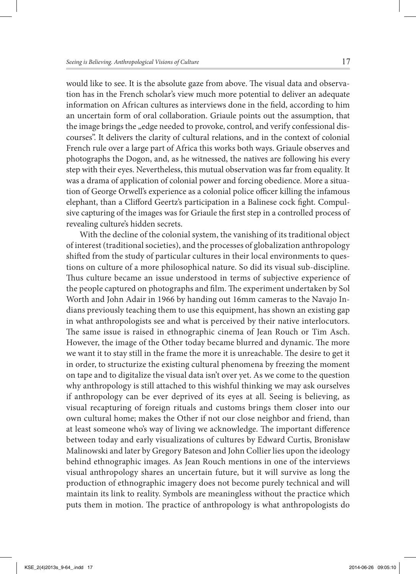would like to see. It is the absolute gaze from above. The visual data and observation has in the French scholar's view much more potential to deliver an adequate information on African cultures as interviews done in the field, according to him an uncertain form of oral collaboration. Griaule points out the assumption, that the image brings the "edge needed to provoke, control, and verify confessional discourses". It delivers the clarity of cultural relations, and in the context of colonial French rule over a large part of Africa this works both ways. Griaule observes and photographs the Dogon, and, as he witnessed, the natives are following his every step with their eyes. Nevertheless, this mutual observation was far from equality. It was a drama of application of colonial power and forcing obedience. More a situation of George Orwell's experience as a colonial police officer killing the infamous elephant, than a Clifford Geertz's participation in a Balinese cock fight. Compulsive capturing of the images was for Griaule the first step in a controlled process of revealing culture's hidden secrets.

With the decline of the colonial system, the vanishing of its traditional object of interest (traditional societies), and the processes of globalization anthropology shifted from the study of particular cultures in their local environments to questions on culture of a more philosophical nature. So did its visual sub-discipline. Thus culture became an issue understood in terms of subjective experience of the people captured on photographs and film. The experiment undertaken by Sol Worth and John Adair in 1966 by handing out 16mm cameras to the Navajo Indians previously teaching them to use this equipment, has shown an existing gap in what anthropologists see and what is perceived by their native interlocutors. The same issue is raised in ethnographic cinema of Jean Rouch or Tim Asch. However, the image of the Other today became blurred and dynamic. The more we want it to stay still in the frame the more it is unreachable. The desire to get it in order, to structurize the existing cultural phenomena by freezing the moment on tape and to digitalize the visual data isn't over yet. As we come to the question why anthropology is still attached to this wishful thinking we may ask ourselves if anthropology can be ever deprived of its eyes at all. Seeing is believing, as visual recapturing of foreign rituals and customs brings them closer into our own cultural home; makes the Other if not our close neighbor and friend, than at least someone who's way of living we acknowledge. The important difference between today and early visualizations of cultures by Edward Curtis, Bronisław Malinowski and later by Gregory Bateson and John Collier lies upon the ideology behind ethnographic images. As Jean Rouch mentions in one of the interviews visual anthropology shares an uncertain future, but it will survive as long the production of ethnographic imagery does not become purely technical and will maintain its link to reality. Symbols are meaningless without the practice which puts them in motion. The practice of anthropology is what anthropologists do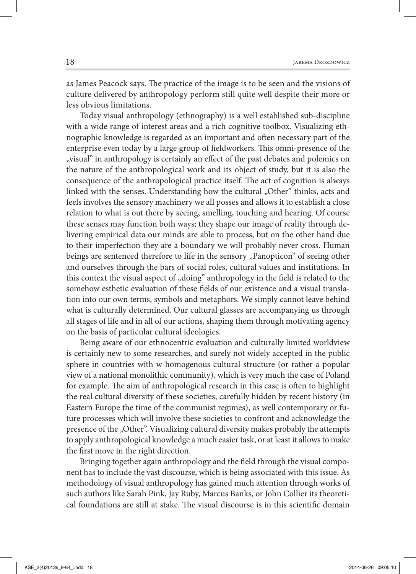as James Peacock says. The practice of the image is to be seen and the visions of culture delivered by anthropology perform still quite well despite their more or less obvious limitations.

Today visual anthropology (ethnography) is a well established sub-discipline with a wide range of interest areas and a rich cognitive toolbox. Visualizing ethnographic knowledge is regarded as an important and often necessary part of the enterprise even today by a large group of fieldworkers. This omni-presence of the "visual" in anthropology is certainly an effect of the past debates and polemics on the nature of the anthropological work and its object of study, but it is also the consequence of the anthropological practice itself. The act of cognition is always linked with the senses. Understanding how the cultural "Other" thinks, acts and feels involves the sensory machinery we all posses and allows it to establish a close relation to what is out there by seeing, smelling, touching and hearing. Of course these senses may function both ways; they shape our image of reality through delivering empirical data our minds are able to process, but on the other hand due to their imperfection they are a boundary we will probably never cross. Human beings are sentenced therefore to life in the sensory "Panopticon" of seeing other and ourselves through the bars of social roles, cultural values and institutions. In this context the visual aspect of  $_{\rm o}$  doing" anthropology in the field is related to the somehow esthetic evaluation of these fields of our existence and a visual translation into our own terms, symbols and metaphors. We simply cannot leave behind what is culturally determined. Our cultural glasses are accompanying us through all stages of life and in all of our actions, shaping them through motivating agency on the basis of particular cultural ideologies.

Being aware of our ethnocentric evaluation and culturally limited worldview is certainly new to some researches, and surely not widely accepted in the public sphere in countries with w homogenous cultural structure (or rather a popular view of a national monolithic community), which is very much the case of Poland for example. The aim of anthropological research in this case is often to highlight the real cultural diversity of these societies, carefully hidden by recent history (in Eastern Europe the time of the communist regimes), as well contemporary or future processes which will involve these societies to confront and acknowledge the presence of the "Other". Visualizing cultural diversity makes probably the attempts to apply anthropological knowledge a much easier task, or at least it allows to make the first move in the right direction.

Bringing together again anthropology and the field through the visual component has to include the vast discourse, which is being associated with this issue. As methodology of visual anthropology has gained much attention through works of such authors like Sarah Pink, Jay Ruby, Marcus Banks, or John Collier its theoretical foundations are still at stake. The visual discourse is in this scientific domain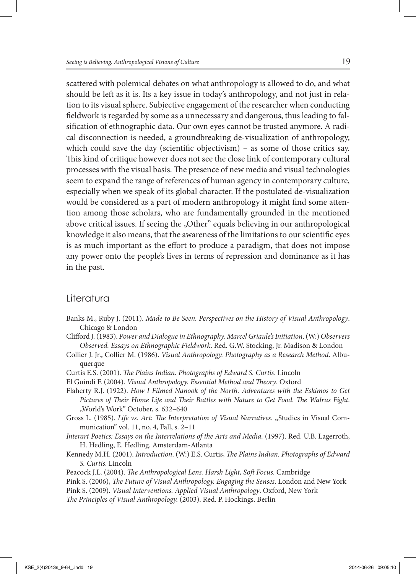scattered with polemical debates on what anthropology is allowed to do, and what should be left as it is. Its a key issue in today's anthropology, and not just in relation to its visual sphere. Subjective engagement of the researcher when conducting fieldwork is regarded by some as a unnecessary and dangerous, thus leading to falsification of ethnographic data. Our own eyes cannot be trusted anymore. A radical disconnection is needed, a groundbreaking de-visualization of anthropology, which could save the day (scientific objectivism) – as some of those critics say. This kind of critique however does not see the close link of contemporary cultural processes with the visual basis. The presence of new media and visual technologies seem to expand the range of references of human agency in contemporary culture, especially when we speak of its global character. If the postulated de-visualization would be considered as a part of modern anthropology it might find some attention among those scholars, who are fundamentally grounded in the mentioned above critical issues. If seeing the "Other" equals believing in our anthropological knowledge it also means, that the awareness of the limitations to our scientific eyes is as much important as the effort to produce a paradigm, that does not impose any power onto the people's lives in terms of repression and dominance as it has in the past.

## Literatura

- Banks M., Ruby J. (2011). *Made to Be Seen. Perspectives on the History of Visual Anthropology*. Chicago & London
- Clifford J. (1983). *Power and Dialogue in Ethnography. Marcel Griaule's Initiation*. (W:) *Observers Observed. Essays on Ethnographic Fieldwork*. Red. G.W. Stocking, Jr. Madison & London
- Collier J. Jr., Collier M. (1986). *Visual Anthropology. Photography as a Research Method*. Albuquerque
- Curtis E.S. (2001). *The Plains Indian. Photographs of Edward S. Curtis. Lincoln*
- El Guindi F. (2004). *Visual Anthropology. Essential Method and Theory*. Oxford
- Flaherty R.J. (1922). *How I Filmed Nanook of the North. Adventures with the Eskimos to Get Pictures of Their Home Life and Their Battles with Nature to Get Food. The Walrus Fight.* "World's Work" October, s. 632-640
- Gross L. (1985). *Life vs. Art: The Interpretation of Visual Narratives.* "Studies in Visual Communication" vol. 11, no. 4, Fall, s. 2–11
- *Interart Poetics: Essays on the Interrelations of the Arts and Media.* (1997). Red. U.B. Lagerroth, H. Hedling, E. Hedling. Amsterdam-Atlanta
- Kennedy M.H. (2001). *Introduction*. (W:) E.S. Curtis, *The Plains Indian. Photographs of Edward S. Curtis*. Lincoln
- Peacock J.L. (2004). *The Anthropological Lens. Harsh Light, Soft Focus.* Cambridge
- Pink S. (2006), *The Future of Visual Anthropology. Engaging the Senses*. London and New York
- Pink S. (2009). *Visual Interventions. Applied Visual Anthropology*. Oxford, New York
- *e Principles of Visual Anthropology.* (2003). Red. P. Hockings. Berlin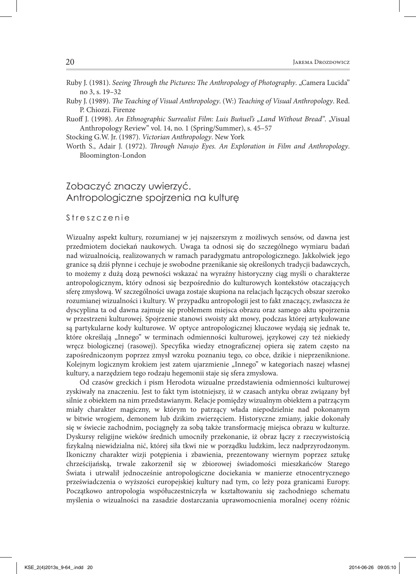- Ruby J. (1981). Seeing Through the Pictures: The Anthropology of Photography. "Camera Lucida" no 3, s. 19–32
- Ruby J. (1989). *The Teaching of Visual Anthropology*. (W:) *Teaching of Visual Anthropology*. Red. P. Chiozzi. Firenze
- Ruoff J. (1998). An Ethnographic Surrealist Film: Luis Buñuel's "Land Without Bread". "Visual Anthropology Review" vol. 14, no. 1 (Spring/Summer), s. 45–57

Stocking G.W. Jr. (1987). *Victorian Anthropology*. New York

Worth S., Adair J. (1972). *Through Navajo Eyes. An Exploration in Film and Anthropology*. Bloomington-London

# Zobaczyć znaczy uwierzyć. Antropologiczne spojrzenia na kulturę

Streszczenie

Wizualny aspekt kultury, rozumianej w jej najszerszym z możliwych sensów, od dawna jest przedmiotem dociekań naukowych. Uwaga ta odnosi się do szczególnego wymiaru badań nad wizualnością, realizowanych w ramach paradygmatu antropologicznego. Jakkolwiek jego granice są dziś płynne i cechuje je swobodne przenikanie się określonych tradycji badawczych, to możemy z dużą dozą pewności wskazać na wyraźny historyczny ciąg myśli o charakterze antropologicznym, który odnosi się bezpośrednio do kulturowych kontekstów otaczających sferę zmysłową. W szczególności uwaga zostaje skupiona na relacjach łączących obszar szeroko rozumianej wizualności i kultury. W przypadku antropologii jest to fakt znaczący, zwłaszcza że dyscyplina ta od dawna zajmuje się problemem miejsca obrazu oraz samego aktu spojrzenia w przestrzeni kulturowej. Spojrzenie stanowi swoisty akt mowy, podczas której artykułowane są partykularne kody kulturowe. W optyce antropologicznej kluczowe wydają się jednak te, które określają "Innego" w terminach odmienności kulturowej, językowej czy też niekiedy wręcz biologicznej (rasowej). Specyfika wiedzy etnograficznej opiera się zatem często na zapośredniczonym poprzez zmysł wzroku poznaniu tego, co obce, dzikie i nieprzeniknione. Kolejnym logicznym krokiem jest zatem ujarzmienie "Innego" w kategoriach naszej własnej kultury, a narzędziem tego rodzaju hegemonii staje się sfera zmysłowa.

Od czasów greckich i pism Herodota wizualne przedstawienia odmienności kulturowej zyskiwały na znaczeniu. Jest to fakt tym istotniejszy, iż w czasach antyku obraz związany był silnie z obiektem na nim przedstawianym. Relacje pomiędzy wizualnym obiektem a patrzącym miały charakter magiczny, w którym to patrzący włada niepodzielnie nad pokonanym w bitwie wrogiem, demonem lub dzikim zwierzęciem. Historyczne zmiany, jakie dokonały się w świecie zachodnim, pociągnęły za sobą także transformację miejsca obrazu w kulturze. Dyskursy religijne wieków średnich umocniły przekonanie, iż obraz łączy z rzeczywistością zykalną niewidzialna nić, której siła tkwi nie w porządku ludzkim, lecz nadprzyrodzonym. Ikoniczny charakter wizji potępienia i zbawienia, prezentowany wiernym poprzez sztukę chrześcijańską, trwale zakorzenił się w zbiorowej świadomości mieszkańców Starego Świata i utrwalił jednocześnie antropologiczne dociekania w manierze etnocentrycznego przeświadczenia o wyższości europejskiej kultury nad tym, co leży poza granicami Europy. Początkowo antropologia współuczestniczyła w kształtowaniu się zachodniego schematu myślenia o wizualności na zasadzie dostarczania uprawomocnienia moralnej oceny różnic